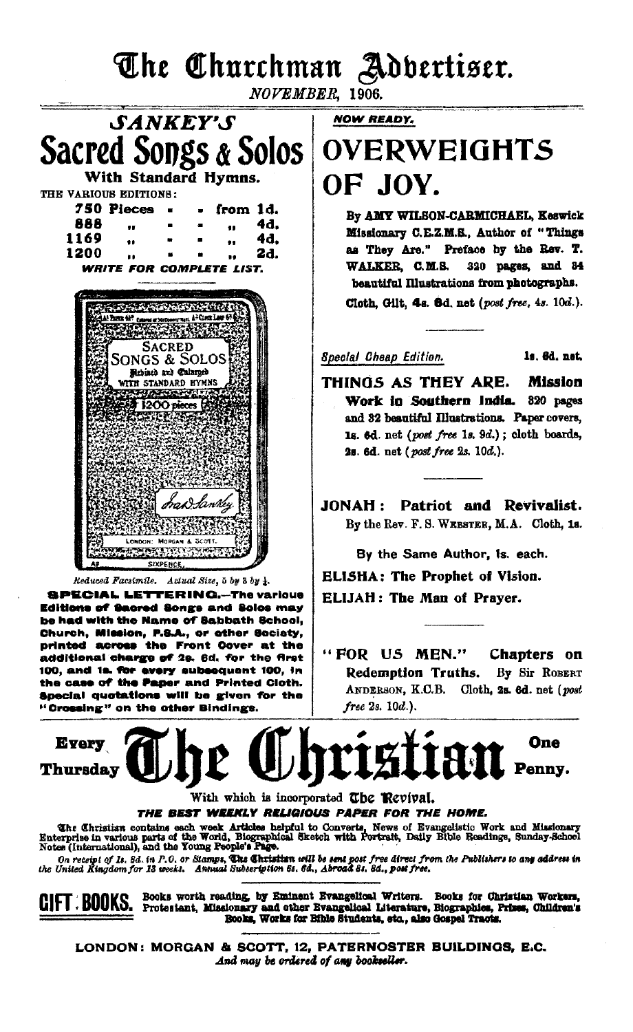The Churchman Adbertiser.

NOVEMBER, 1906.

**SANKEY'S** Sacred Songs & Solos With Standard Hymns. THE VARIOUS EDITIONS: 750 Pieces from 1d. 888 4d.  $\ddot{\phantom{a}}$ 41 4d, 1169 ..  $\bullet\bullet$ 1200 2d. .. .. **WRITE FOR COMPLETE LIST. SAMANY ASSESSMENT**  $\begin{minipage}{.4\textwidth} \begin{tabular}{l} \hline A & B & C & C & C \\ \hline A & D & D & C & C \\ \hline A & D & D & C \\ \hline C & D & D & C \\ \hline C & D & D & C \\ \hline C & D & D & C \\ \hline C & D & D & C \\ \hline C & D & C & C \\ \hline C & D & C & C \\ \hline C & D & C & C \\ \hline C & D & C & C \\ \hline C & D & C & C \\ \hline C & D & C & C \\ \hline C & D & C & C \\ \hline C & D & C & C \\ \hline C & D & C & C \\ \hline C & D & C & C \\ \hline C & D & C$ **SACRED SONGS & SOLOS** Rebisch and Calargeo **TTH STANDARD HYMNS FALACE CARD ACTIVIT**  $1200$  pieces 75.50 SIXPENC Reduced Facsimile. Actual Size, 5 by 3 by 4. **SPECIAL LETTERING.-The various** Editions of Sacred Songs and Solos may be had with the Name of Sabbath School, Church, Mission, P.S.A., or other Society, printed across the Front Cover at the additional charge of 2s. 6d. for the first 100, and 1s. for every subsequent 100, in the case of the Paper and Printed Cloth. Special quotations will be given for the

"Crossing" on the other Bindings.

**NOW READY.** 

# **OVERWEIGHTS** OF JOV.

By AMY WILSON-CARMICHAEL, Keswick Missionary C.E.Z.M.S., Author of "Things as They Are." Preface by the Rev. T. WALKER, C.M.S. 320 pages, and 34 beautiful Illustrations from photographs.

Cloth, Gilt. 4s. 8d. net (post free, 4s. 10d.).

Special Cheap Edition.

1s. 6d. net.

THINGS AS THEY ARE. **Mission** Work in Southern India. 820 pages and 32 beautiful Illustrations. Paper covers, 1s. 6d. net (post free 1s. 9d.); cloth boards, 2s. 6d. net (post free 2s. 10d.).

JONAH : Patriot and Revivalist. By the Rev. F. S. WEBSTER, M.A. Cloth, 1s.

By the Same Author, is. each. ELISHA: The Prophet of Vision. **ELIJAH: The Man of Prayer.** 

"FOR US MEN." Chapters on Redemption Truths. By Sir ROBERT ANDERSON, K.C.B. Cloth, 2s. 6d. net (post free 2s. 10d.).



#### With which is incorporated The Revival.

THE BEST WEEKLY RELIGIOUS PAPER FOR THE HOME.

The Christian contains each week Articles helpful to Converts, News of Evangelistic Work and Missionary Enterprise in various parts of the World, Biographical Sketch with Portrait, Daily Bible Readings, Sunday-School Notes

On receipt of Is. 3d. in P.O. or Stamps, The Christian will be sent post free direct from the Publishers to any address in<br>the United Kingdom for 13 weeks. Annual Subseription 6s. 6d., Abroad 8s. 8d., post free.

Books worth reading, by Eminent Evangelical Writers. Books for Christian Workers, Protestant, Missionary and other Evangelical Literature, Riographies, Prizes, Children's GIFT BOOKS. Books, Works for Bible Students, etc., also Gospel Tracts.

LONDON: MORGAN & SCOTT, 12, PATERNOSTER BUILDINGS, E.C. And may be ordered of any bookseller.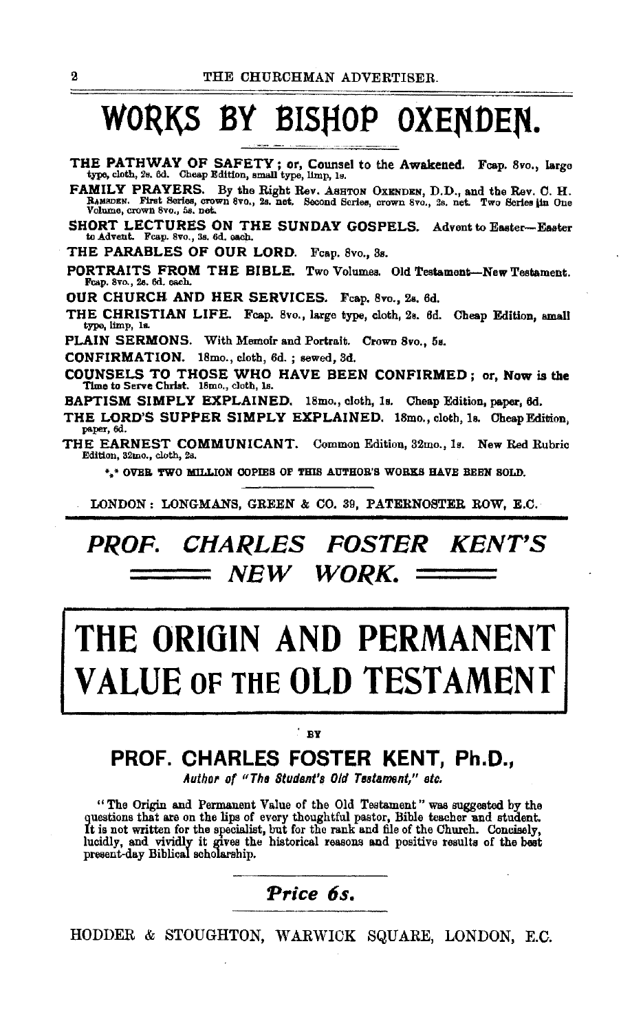# WORKS BY BISHOP OXENDEN.

THE PATHWAY OF SAFETY; or, Counsel to the Awakened. Fcap. 8vo., large type, cloth, 2s. 6d. Cheap Edition, small type, limp, 1s.

FAMILY PRAYERS. By the Right Rev. ASHTON OXENDEN, D.D., and the Rev. C. H. RAMSDEN. First Series, crown 8vo., 2s. net. Second Series, crown 8vo., 2s. net. Two Series **jin** One<br>Volume, crown 8vo., 5s. net.

SHORT LECTURES ON THE SUNDAY GOSPELS. Advent to Easter-Easter to Advent. Feap. 8vo., 3s. 6d. each.

THE PARABLES OF OUR LORD. Fcap. 8vo., 3s.

PORTRAITS FROM THE BIBLE. Two Volumes. Old Testament-New Testament. Fcap. 8vo., 28. 6d. each.

OUR CHURCH. AND HER SERVICES. Fcap. Svo., 2s. 6d.

THE CHRISTIAN LIFE. Fcap. 8vo., large type, cloth, 2s. 6d. Cheap Edition, small type, limp, ls.

PLAIN SERMONS. With Memoir and Portrait. Crown 8vo., 5s.

CONFIRMATION. 18mo., cloth, 6d.; sewed, 3d.

COUNSELS TO THOSE WHO HAVE BEEN CONFIRMED; or, Now is the Time to Serve Christ. 18mo., cloth, ls.

BAPTISM SIMPLY EXPLAINED. 18mo., cloth, ls. Cheap Edition, paper, 6d.

THE LORD'S SUPPER SIMPLY EXPLAINED. 18mo., cloth, ls. Cheap Edition, paper, 6d.

THE EARNEST COMMUNICANT. Common Edition, 32mo., ls. New Red Rubric Edition, S2mo., cloth, 28.

\*.\* OVER TWO MILLION COPIES OF THIS AUTHOR'S WORKS HAVE BEEN SOLD.

LONDON: LONGMANS, GREEN & CO. 39, PATERNOSTER ROW, E.C.

## *PROF.* **CHARLES FOSTER KENT'S NEW WORK.**

# **THE ORIGIN AND PERMANENT**  *UE* OF THE OLD TESTAME

#### .<br>BY

## **PROF. CHARLES FOSTER KENT, Ph.D.,**

*Author o( "Ths Student's Old Testament/' etc.* 

"The Origin and Permanent Value of the Old Testament" was suggested by the The teacher and student. The lips of every thoughtful pastor, Bible teacher and student. It is not written for the specialist, but for the rank and file of the Church. Concisely, It is not written for the specialist, but for the rank and file of the Church. Concisely, lucidly, and vividly it gives the historical reasons and positive results of the best present-day Biblical scholarship.

### Price 6s.

HODDER & STOUGHTON, WARWICK SQUARE, LONDON, E.C.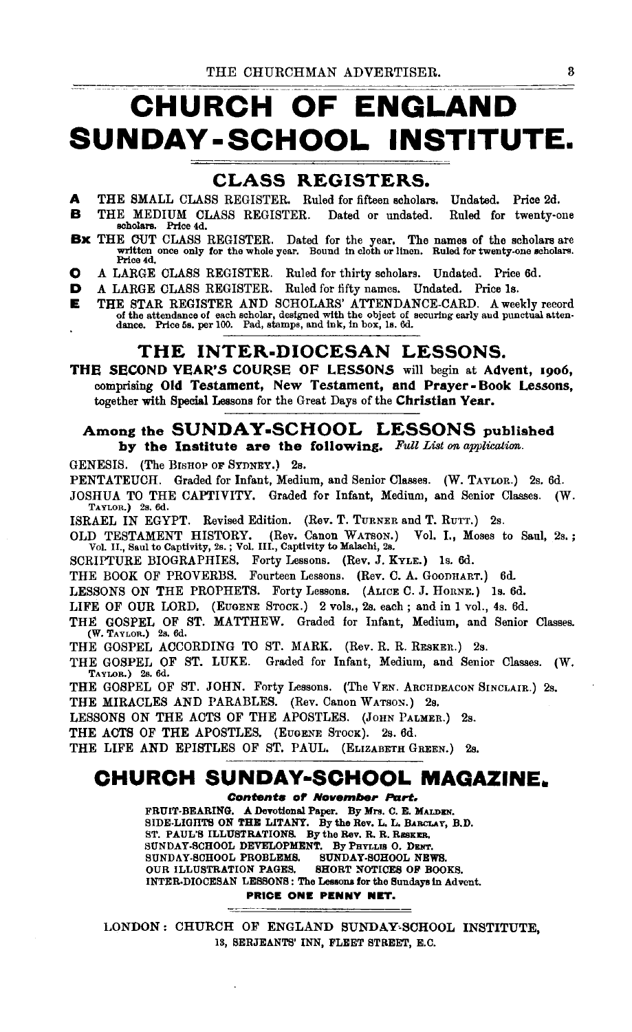# **CHURCH OF ENGLAND SUNDAY -SCHOOL INSTITUTE.**

#### CLASS REGISTERS.

- A THE SMALL CLASS REGISTER. Ruled for fifteen scholars. Undated. Price 2d.
- <sup>B</sup>THE MEDIUM CLASS REGISTER. Dated or undated. Ruled for twenty-one scholars. Price 4d.
- Bx THE CUT CLASS REGISTER. Dated for the year. The names of the scholars are written once only for the whole year. Bound in cloth or linen. Ruled for twenty.one scholars. Price 4d.
- 0 A LARGE CLASS REGISTER. Ruled for thirty scholars. Undated. Price 6d.
- D A LARGE CLASS REGISTER. Ruled for fifty names. Undated. Price Is.
- **E** THE STAR REGISTER AND SCHOLARS' ATTENDANCE-CARD. A weekly record of the attendance of each scholar, designed with the object of securing early and punctual attendance. Price 5s, per 100. Pad, stamps, and ink, in box, 1

#### THE INTER-DIOCESAN LESSONS.

THE SECOND YEAR'S COURSE OF LESSONS will begin at Advent, 1906, comprising Old Testament, New Testament, and Prayer- Book Lessons, together with Special Lessons for the Great Days of the Christian Year.

#### Among the SUNDAY·SCHOOL LESSONS published by the Institute are the following. *Full List on application.*

GENESIS. (The BISHOP OF SYDNEY.) 2s.

PENTATEUCH. Graded for Infant, Medium, and Senior Classes. (W. TAYLOR.) 2s. 6d.

JOSHUA TO THE CAPTIVITY. Graded for Infant, Medium, and Senior Classes. (W. TAYLOR.) 2s, 6d.

ISRAEL IN EGYPT. Revised Edition. (Rev. T. TURNER and T. RUTT.) 2s.

- OLD TESTAMENT HISTORY. (Rev. Canon WATSON.) Vol. 1., Moses to Saul, 2s.; Vol. II., Saul to Captivity, 2s.; Vol. III., Captivity to Malachi, 2s.
- SCRIPTURE BIOGRAPHIES. Forty Lessons. (Rev. J. KYLE.) Is. 6d.

THE BOOK OF PROVERBS. Fourteen Lessons. (Rev. C. A. GOODHART.) 6d.

LESSONS ON THE PROPHETS. Forty Lessons. (ALICE C. J. HoRNE.) Is. 6d.

LIFE OF OUR LORD. (EUGENE STOCK.) 2 vols., 2s. each; and in 1 vol., 4s. 6d.

THE GOSPEL OF ST. MATTHEW. Graded for Infant, Medium, and Senior Classes. (W, TAYLOR.) 2s. 6d.

THE GOSPEL ACCORDING TO ST. MARK. (Rev. R. R. RESKER.) 2s.

THE GOSPEL OF ST. LUKE. Graded for Infant, Medium, and Senior Classes. (W. TAYLOR.) 2s. 6d.

THE GOSPEL OF ST. JOHN. Forty Lessons. (The VEN. ARCHDEACON SINCLAIR.) 2s.

THE MIRACLES AND PARABLES. (Rev. Canon WATSON.) 2s.

LESSONS ON THE ACTS OF THE APOSTLES. (JOHN PALMER.) 2s.

THE ACTS OF THE APOSTLES. (EUGENE STOCK). 2s. 6d.

THE LIFE AND EPISTLES OF ST. PAUL. (ELIZABETH GREEN.) 2s.

### **CHURCH SUNDAY·SCHOOL MAGAZINE.**

Contents of November **Part.** 

FRUIT-BEARING. A Devotional Paper. By Mrs. C. E. MALDEN.<br>SIDE-LIGHTS ON THE LITANY. By the Rev. L. L. BARCLAY, B.D. ST. PAUL'S ILLUSTRATIONS. By the Rev. R. R. RESKER.<br>SUNDAY-SCHOOL DEVELOPMENT. By PHYLLIS O. DENT. SUNDAY-SCHOOL PROBLEMS. SUNDAY-SCHOOL NEWS.<br>OUR ILLUSTRATION PAGES. SHORT NOTICES OF BOOKS. OUR ILLUSTRATION PAGES. INTER-DIOCESAN LESSONS: The Lessons for the Sundeys in Advent.

PRICE ONE PENNY NET.

LONDON: CHURCH OF ENGLAND SUNDAY•SCHOOL INSTITUTE, IS, SERJEANTS' INN, FLEET STREET, E.C.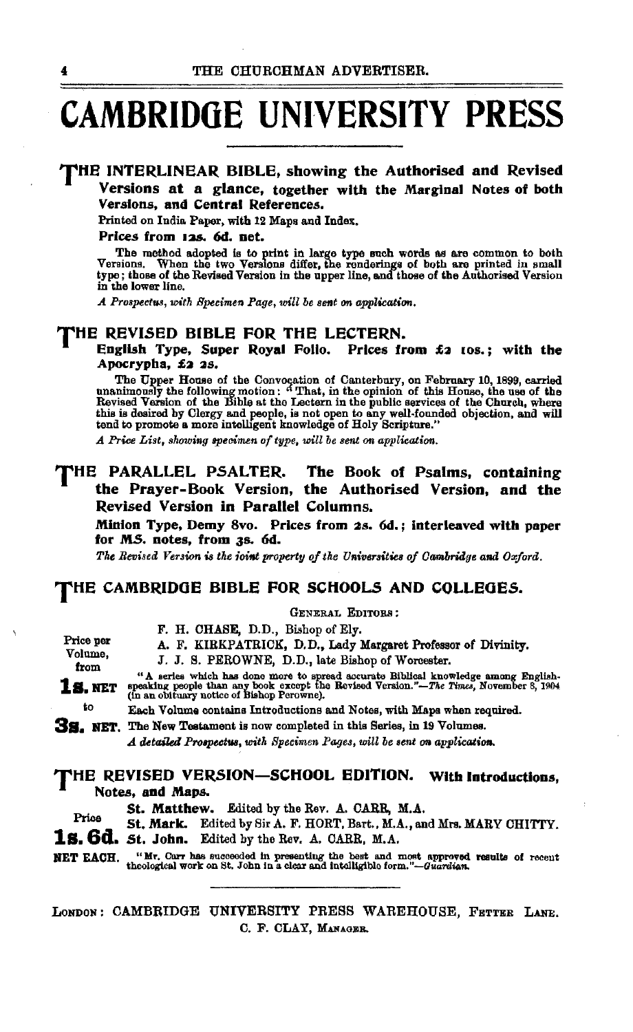# **CAMBRIDGE UNIVERSITY PRESS**

#### THE INTERLINEAR. BIBLE, showing the Authorised and Revised Versions at a glance, together with the Marginal Notes of both Versions, and Central References.

Printed on India Paper, with 12 Maps and Index.

#### Prices from 12s. 6d. net.

The method adopted is to print in large type such words as are common to both Versions. When the two Versions differ, the renderings of both are printed in small type; those of the Revised Version in the upper line, and th in the lower line.

*A Prospectus, with Specimen Page, will be sent on application.* 

#### THE REVISED BIBLE FOR. THE LECTERN.

#### English Type, Super Royal Folio. Prices from £2 1os.; with the Apocrypha, £2 2s.

The Upper House of the Convocation of Canterbury, on February 10, 1899, carried unanimously the following motion: "That, in the opinion of this House, the use of the Revised Version of the Bible at the Lectern in the publi this is desired by Clergy and people, is not open to any well-founded objection, and will tend to promote a more intelligent knowledge of Holy Scripture."

*A Price List, showing specimen of type, will be sent on application.* 

#### THE PARALLEL PSALTER. The Book of Psalms, containing the Prayer-Book Version, the Authorised Version, and the Revised Version in Parallel Columns.

Minion Type, Demy 8vo. Prices from 2s. 6d. ; Interleaved with paper for MS. notes, from 3s. 6d.

GENERAL EDITORS;

The Revised Version is the *ioint property of the Universities of Cambridge and Oxford.* 

#### THE CAMBRIDGE BIBLE FOR SCHOOLS AND COLLEGES.

|                                                                                                                                                                               | F. H. CHASE, D.D., Bishop of Ely.                                                                                                                                                                                      |
|-------------------------------------------------------------------------------------------------------------------------------------------------------------------------------|------------------------------------------------------------------------------------------------------------------------------------------------------------------------------------------------------------------------|
| Price per                                                                                                                                                                     | A. F. KIRKPATRICK, D.D., Lady Margaret Professor of Divinity.                                                                                                                                                          |
| Volume.<br>from                                                                                                                                                               | J. J. S. PEROWNE, D.D., late Bishop of Worcester.                                                                                                                                                                      |
| <b>1s. NET</b>                                                                                                                                                                | "A series which has done more to spread accurate Biblical knowledge among English-speaking people than any book except the Revised Version."—The Times, November 8, 1904<br>(in an obituary notice of Bishop Perowne). |
| to                                                                                                                                                                            | Each Volume contains Introductions and Notes, with Maps when required.                                                                                                                                                 |
| <b>3s.</b> NET.                                                                                                                                                               | The New Testament is now completed in this Series, in 19 Volumes.                                                                                                                                                      |
|                                                                                                                                                                               | A detailed Prospectus, with Specimen Pages, will be sent on application.                                                                                                                                               |
| THE REVISED VERSION—SCHOOL EDITION.<br>With Introductions,<br>Notes, and Maps.<br>St. Matthew. Edited by the Rev. A. CARR, M.A.<br>$\mathbf{m}$ , $\mathbf{r}$ , $\mathbf{r}$ |                                                                                                                                                                                                                        |

St. Mark. Edited by Sir A. F. HORT, Bart., M.A., and Mrs. MARY CHITI'Y. **1&.** 6d. *St.* John. Edited by the Rev. A. CARR, M.A.

NET EACH. "Mr. Carr has succeeded in presenting the best and most approved results of recent theological work on St. John in a clear and intelligible form."-Guardian.

LONDON: CAMBRIDGE UNIVERSITY PRESS WAREHOUSE, FETTER LANE. C. F. CLAY, MANAGER.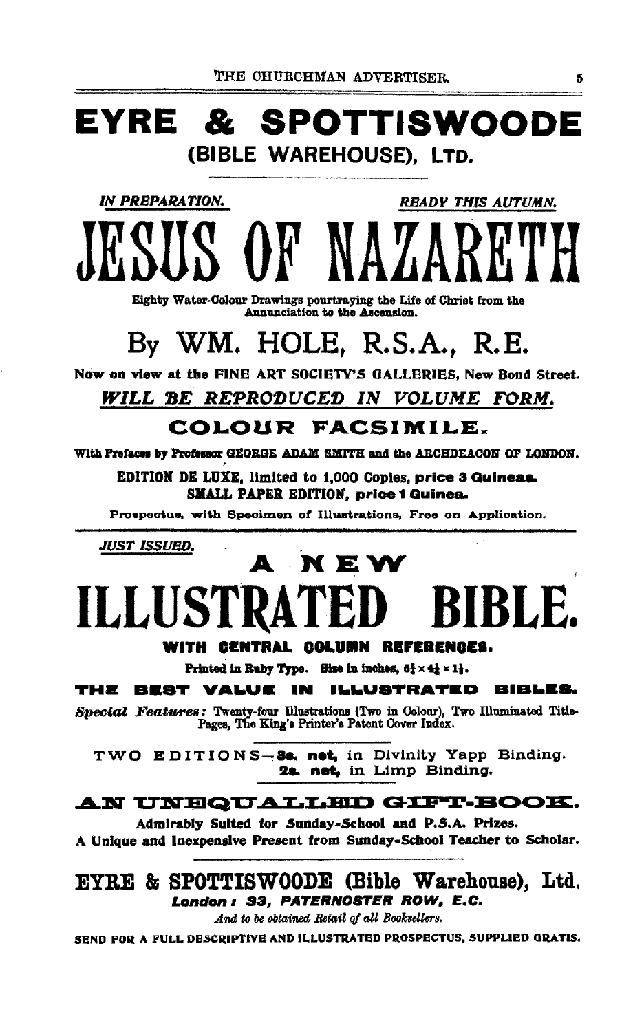# EYRE & SPOTTISWOODE (BIBLE WAREHOUSE), LTD.

**IN PREPARATION.** 

**READY THIS AUTUMN.** 

Eighty Water-Colour Drawings pourtraying the Life of Christ from the Annunciation to the Ascension.

# By WM. HOLE. R.S.A., R.E.

Now on view at the FINE ART SOCIETY'S GALLERIES, New Bond Street.

## WILL BE REPRODUCED IN VOLUME FORM.

## COLOUR FACSIMILE.

With Prefaces by Professor GEORGE ADAM SMITH and the ARCHDEACON OF LONDON.

EDITION DE LUXE, limited to 1,000 Copies, price 3 Quineas. **SMALL PAPER EDITION, price 1 Quinea.** 

Prospectus, with Specimen of Illustrations, Free on Application.

JUST ISSUED.

# N E W **ILLUS'** BLE.

#### WITH CENTRAL COLUMN REFERENCES.

Printed in Ruby Type. Size in inches,  $5\frac{1}{2} \times 4\frac{1}{2} \times 1\frac{1}{2}$ .

#### THE BEST VALUE **ILLUSTRATED BIBLES.** IN

Special Features: Twenty-four Illustrations (Two in Colour), Two Illuminated Title-Pages, The King's Printer's Patent Cover Index.

TWO EDITIONS-3:. net, in Divinity Yapp Binding. 2s. net. in Limp Binding.

#### AN UNEQUALLED GIFT-BOOK.

Admirably Suited for Sunday-School and P.S.A. Prizes. A Unique and Inexpensive Present from Sunday-School Teacher to Scholar.

#### EYRE & SPOTTISWOODE (Bible Warehouse), Ltd. London : 33, PATERNOSTER ROW, E.C.

And to be obtained Retail of all Booksellers.

SEND FOR A FULL DESCRIPTIVE AND ILLUSTRATED PROSPECTUS, SUPPLIED GRATIS.

5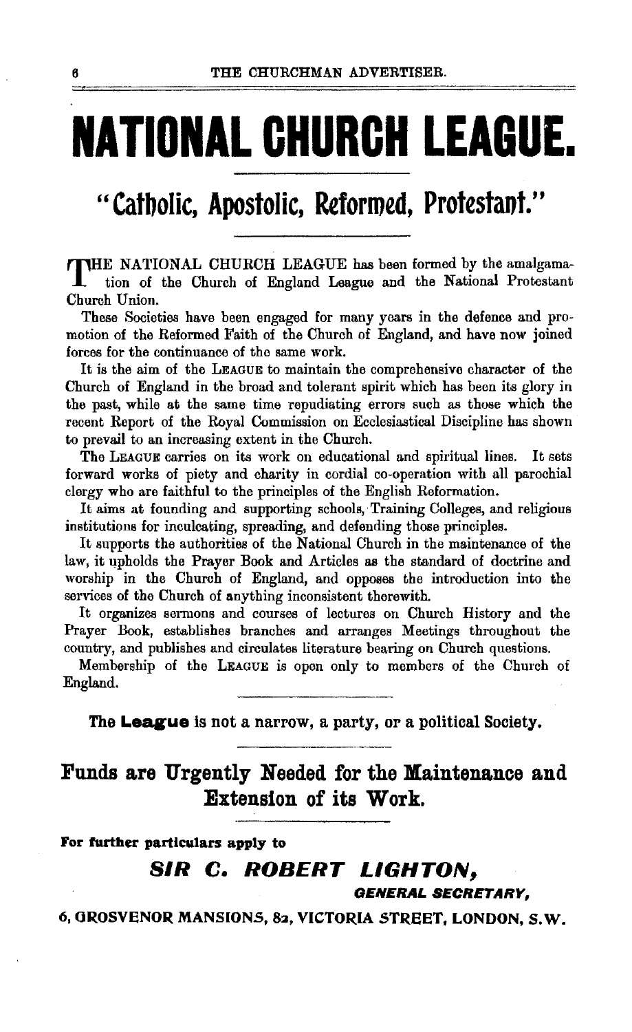# **NATIONAL CHURCH LEAGUE.**

## "Catbolic, Apostolic, Reformed, Protestant."

THE NATIONAL CHURCH LEAGUE has been formed by the amalgamation of the Church of England League and the National Protestant Church Union.

These Societies have been engaged for many years in the defence and promotion of the Reformed Faith of the Church of England, and have now joined forces for the continuance of tho same work.

It is the aim of the LEAGUE to maintain the comprehensive character of the Church of England in the broad and tolerant spirit which has been its glory in the past, while at the same time repudiating errors such as those which the recent Report of the Royal Commission on Ecclesiastical Discipline has shown to prevail to an increasing extent in the Church.

The LEAGUE carries on its work on educational and spiritual lines. It sets forward works of piety and charity in cordial co-operation with all parochial clergy who are faithful to the principles of the English Reformation.

It aims at founding and supporting schools, Training Colleges, and religious institutions for inculcating, spreading, and defending those principles.

It supports the authorities of the National Church in the maintenance of the law, it qpholds the Prayer Book and Articles as the standard of doctrine and worship in the Church of England, and opposes the introduction into the services of the Church of anything inconsistent therewith.

It organizes sermons and courses of lectures on Church History and the Prayer Book, establishes branches and arranges Meetings throughout the country, and publishes and circulates literature bearing on Church questions.

Membership of the LEAGUE is open only to members of the Church of England.

The **League** is not a narrow, a party, or a political Society.

## Funds are Urgently Needed for the Maintenance and Extension of its Work.

For further particulars apply to

### SIR C. ROBERT LIGHTON,

GENERAL SECRETARY,

6, GROSVENOR MANSIONS, 82, VICTORIA STREET, LONDON, S.W.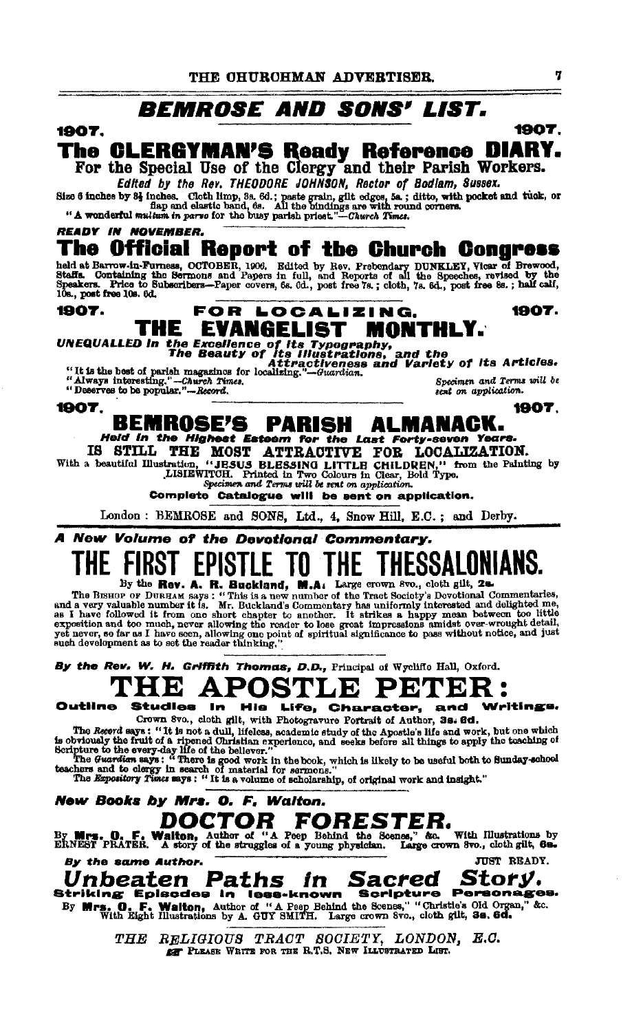### **BEMROSE AND SONS' LIST.**

#### 1907.

#### The CLERGYMAN'S Ready Reference DIARY. For the Special Use of the Clergy and their Parish Workers.

Edited by the Rev. THEODORE JOHNSON, Rector of Bodlam, Sussex.

Size 6 inches by 84 inches. Cloth limp, 3s. 6d.; paste grain, gilt edges, 5a,; ditto, with pocket and tuck, or flap and elastic band, 6s. All the bindings are with round corners. "A wonderful multum in parve for the busy

## The Official Report of the Church Congress

ned at Barrow-in-Furness, OCTOBER, 1906. Edited by Rev. Prebendary DUNKLEY, Vicar of Brewood, Steffe. Containing the Sermons and Papers in full, and Reports of all the Speeches, revised by the Steffe. Containing the Sermon

#### 1907. FOR LOCALIZING. 1907. THE EVANGELIST MONTHLY. UNEQUALLED in the Excellence of its Type and the Contract of the Seauty of Hustrations, and the  $\begin{array}{c} \text{It is the best of partial mass and the}\\ \text{if it is the best of parish magazinos for localizing."}-\text{Gwardian.}\\ \text{if always interesting."}-\text{Gwardian.}\\ \text{if.} \end{array}$

Specimen and Terms will be

**READY IN NOVEMBER.** 

1907.

#### 1907.

#### **BEMROSE'S PARISH ALMANACK.** Held in the Highest Esteem for the Last Forty-seven Years.

IS STILL THE MOST ATTRACTIVE FOR LOCALIZATION.<br>With a beautiful Illustration, "JESUS BLESSING LITTLE CHILDREN," from the Painting by<br>LISIEWITCH. Printed in Two Colours in Clear, Bold Type.<br>Specimen and Terms will be sent o

Complete Catalogue will be sent on application.

London: BEMROSE and SONS, Ltd., 4, Snow Hill, E.C.; and Derby.

#### A New Volume of the Devotional Commentary. TO THE THESSALONIANS. FIKS I **EPISTLE**

THE THEOUTEURING<br>The Branch of the Record of the Record of the Schick of the Record of the Record of the Record of the Tract Sciely's Devotional Commentaries,<br>and a very valuable number it is. Mr. Buckland's Commentary has

By the Rev. W. H. Griffith Thomas, D.D., Principal of Wycliffe Hall, Oxford.

#### HE POS  $\mathbf{E}$ PE А 'EK

Outline **Studies In** Writings. His Life, Character, and

Crown 8vo., cloth gilt, with Photogravure Portrait of Author, 38. 6d. The Record sexe in the Hotographic with the compared contract of Atluator, see and intervals of the state of the Apostosial set of a representation of the Apostosial section is obviously the fruit of a ripened Christian ex

New Books by Mrs. O. F. Walton.

**DOCTOR FORESTER.**<br>By Mrs. O. F. Walton, Author of "A Peep Behind the Scenes," &c. With Illustrations by<br>ERNEST PRATER. A story of the struggles of a young physician. Large crown 8vo., cloth gilt, 6s. JUST READY.

By the same Author.

Unbeaten Paths in Sacred Story. Striking Episodes in less-known Scripture Personages.<br>By Mrs. 0. F. Walton, Author of "A Peep Behind the Scenes," "Christie's Old Organ," &c.<br>With Eight Illustrations by A. GUY SMITH. Large crown Svo., cloth glit, 3s. 6d.

> THE RELIGIOUS TRACT SOCIETY, LONDON, E.C. EF PLEASE WRITE FOR THE R.T.S. NEW ILLUSTRATED LIST.

1907.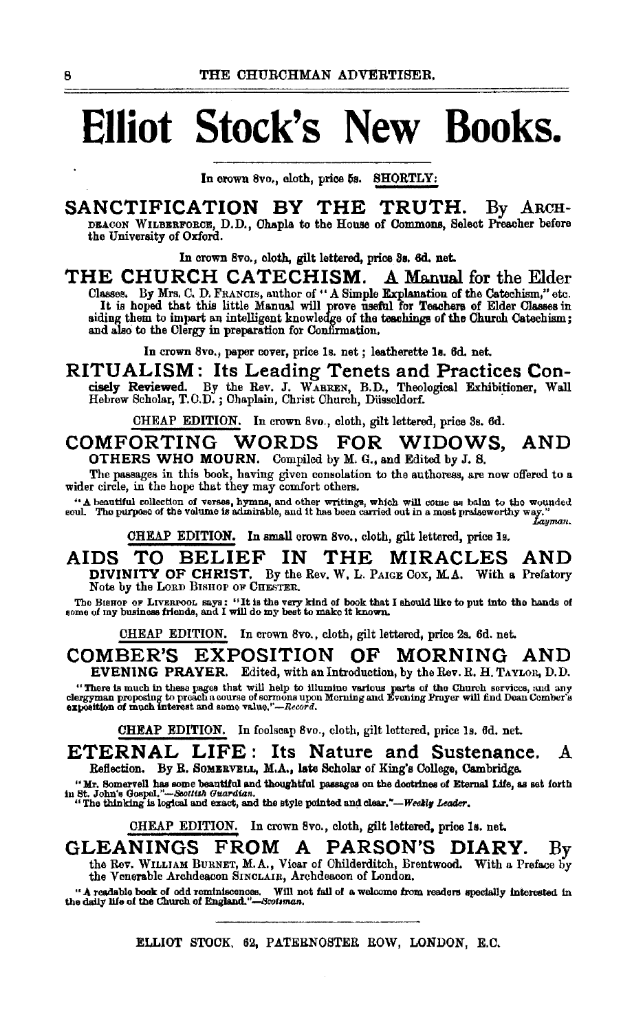# **Elliot Stock's New Books.**

In crown 8vo., cloth, price 5s. SHORTLY:

## SANCTIFICATION BY THE TRUTH. By ARCH-

DEAcoN WILBERFORCE, D.D., Ohapla to the House of Commons, Select Preacher before the University of Oxford.

In crown 8vo., cloth, gilt lettered, price Sa. 6d. net.

THE CHURCH CATECHISM. A Manual for the Elder Classes. By Mrs. C. D. FRANCis, author of "A Simple Explanation of the Catechism," etc. It is hoped that this little Manual will prove useful for Teachers of Elder Classes in siding them to impart an intelligent knowledge of the teachings of the Church Catechism; and also to the Clergy in preparation for Confirmation.

In crown 8vo., paper cover, price Is. net ; leatherette ls. 6d. net.

RITUALISM: Its Leading Tenets and Practices Concisely Reviewed. By the Rev. J. WARREN, B.D., Theological Exhibitioner, Wall Hebrew Scholar, T.O.D.; Chaplain, Christ Church, Düsseldorf.

CHEAP EDITION. In crown 8vo., cloth, gilt lettered, price 3s. 6d.

COMFORTING WORDS FOR WIDOWS, AND OTHERS WHO MOURN. Compiled by M. G., and Edited by J. S.

The passages in this book, having given consolation to the authoress, are now offered to a wider circle, in the hope that they may comfort others.

"A beautiful collection of verses, hymns, and other writings, which will come as balm to the wounded soul. The purpose of the volume is admirable, and it has been carried out in a most praiseworthy way."<br>Lagman.

CHEAP EDITION. In small crown 8vo., cloth, gilt lettered, price 1s.

AIDS TO BELIEF IN THE MIRACLES AND DIVINITY OF CHRIST. By the Rev. W. L. PAIGE COX, M.A. With a Prefatory Note by the LORD BISHOP OF CHESTER.

The BISHOP OF LIVERPOOL Says: "It is the very kind of book that I should like to put into the hands of some of my business friends, and I will do my best to make it known.

CHEAP EDITION. In crown 8vo., cloth, gilt lettered, price 2s. 6d. net.

COMBER'S EXPOSITION OF MORNING AND EVENING PRAYER. Edited, with an Introduction, by the Rev. R. H. TAYLOR, D.D.

"There is much in these pages that will help to illumine various parts of the Church services, and any<br>clergyman proposing to preach a course of sormons upon Merning and Evening Prayer will find Dean Comber's<br>exposition of

CHEAP EDITION. In foolscap 8vo., cloth, gilt lettered, price ls. 6d. net.

ETERNAL LIFE: Its Nature and Sustenance. A Reflection. By R. SOMERVELL, M.A., late Scholar of King's College, Cambridge.

"Mr. Somervell has some beautiful and thoughtful passages on the doctrines of Eternal Life, as set forth in St. John's Gospel."---Socttish Guardian.<br>"The thinking is logical and exact, and the style pointed and clear."---

CHEAP EDITION. In crown 8vo., cloth, gilt lettered, price ls. net.

GLEANINGS FROM A PARSON'S DIARY. By the Rev. WILLIAM BuRNET, M.A., Vicar of Ohilderditch, Brentwood. With a Preface by the Venerable Archdeacon SINCLAIR, Archdeacon of London.

"A readable book of odd reminiscences. Will not fail of a welcome from readers specially interested in the daily life of the Church of *England."-Bcol1man*.

#### ELLIOT STOCK. 62, PATERNOSTER ROW, LONDON, E.C.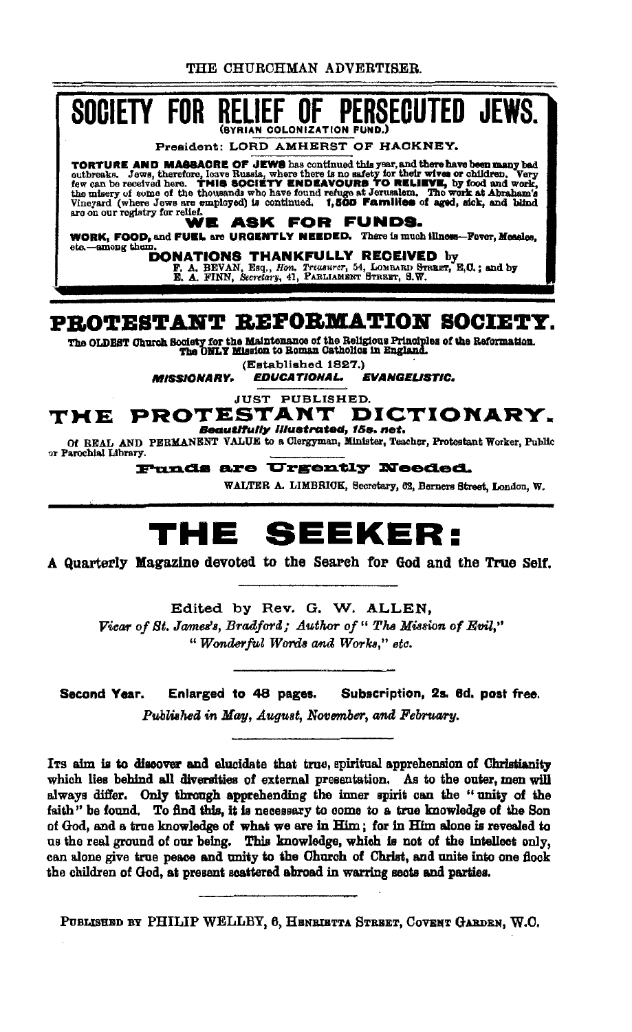THE CHURCHMAN ADVERTISER.



(Established 1827.)

**MISSIONARY. EVANGELISTIC. EDUCATIONAL.** 

**JUST PUBLISHED.** 

#### THE PROTESTANT DICTIONARY. **Beautifully illustrated, 15s. net.**

Of REAL AND PERMANENT VALUE to a Clergyman, Minister, Teacher, Protestant Worker, Public or Parochial Library.

Funds are Urgently Needed.

WALTER A. LIMBRICK, Secretary, 62, Berners Street, London, W.

## THE SEEKER:

A Quarterly Magazine devoted to the Search for God and the True Self.

Edited by Rev. G. W. ALLEN. Vicar of St. James's, Bradford; Author of " The Mission of Evil," "Wonderful Words and Works," etc.

Second Year. Enlarged to 48 pages. Subscription, 2s. 6d. post free.

Published in May, August, November, and February.

Its aim is to discover and elucidate that true, spiritual apprehension of Christianity which lies behind all diversities of external presentation. As to the outer, men will always differ. Only through apprehending the inner spirit can the "unity of the faith" be found. To find this, it is necessary to come to a true knowledge of the Son of God, and a true knowledge of what we are in Him; for in Him alone is revealed to us the real ground of our being. This knowledge, which is not of the intellect only, can alone give true peace and unity to the Church of Christ, and unite into one flock the children of God, at present scattered abroad in warring sects and parties.

PUBLISHED BY PHILIP WELLBY, 6, HENRIETTA STREET, COVENT GARDEN, W.O.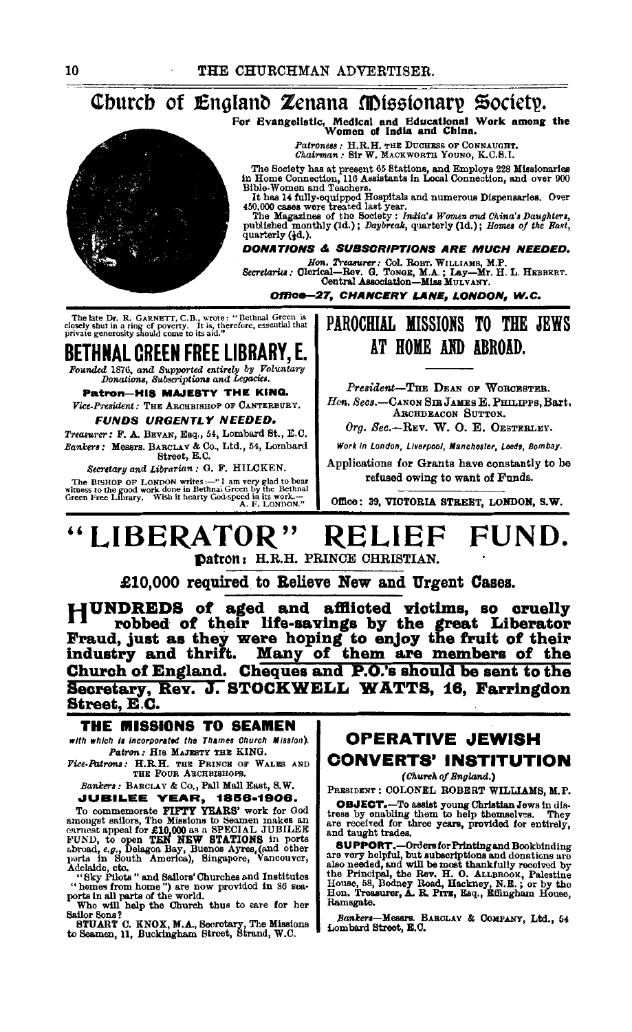#### Church of England Zenana Missionary Society.

For Evangelistic, Medical and Educational Work among the<br>Women of India and China.

Patroness: H.R.H. THE DUCHESS OF CONNAUGHT.<br>Chairman: Sir W. MACKWORTH YOUNO, K.C.S.I.

The Society has at present 65 Stations, and Employs 228 Missionaries<br>in Home Connection, 116 Assistants in Local Connection, and over 900<br>Bible-Women and Teachers.

Blue-Women and Teachers.<br>
It has 14 fully-equipped Hospitals and numerous Dispensaries. Over<br>  $450,000$  cases were treated last year.<br>
The Magazines of the Society: *India's Women and China's Daughters*.<br>
The Magazines of

quarterly (1d.).

#### **DONATIONS & SUBSCRIPTIONS ARE MUCH NEEDED.**

Hon, Treasurer: Col. ROBT. WILLIAMS, M.P.<br>Secretaries: Clerical-Bev. G. TONGE, M.A.; Lay-Mr. H. L. HEBBERT.<br>Central Association-Miss MULVANY.

Office-27. CHANCERY LANE, LONDON, W.C.

The late Dr. R. GARNETT, C.B., wrote: "Bethnal Green is closely shut in a ring of poverty. It is, therefore, essential that private generosity should come to its aid."

## **BETHNAL GREEN FREE LIBRARY, E.**

Founded 1876, and Supported entirely by Voluntary<br>Donations, Subscriptions and Legacies.

Patron-HIS MAJESTY THE KING. Vice-President: THE ARCHBISHOP OF CANTERBURY.

#### **FUNDS URGENTLY NEEDED.**

Treasurer: F. A. BEVAN, Esq., 54, Lombard St., E.C. Bankers: Messrs. BARCLAY & Co., Ltd., 54, Lombard<br>Street, E.C.

Secretary and Librarian : G. F. HILCKEN.

**The BISHOP OF LONDON writes:—"I am very glad to bear<br>witness to the good work done in Bethnal Green by the Bethnal<br>Green Free Library. Wish it hearty God-speed in its work.—<br>A. F. LONDON."** 

### PAROCHIAL MISSIONS TO THE JEWS AT HOME AND ARROAD.

President-THE DEAN OF WORCESTER. Hon. Secs.-CANON SIR JAMES E. PHILIPPE. Bart. ARCHDRACON SUTTON.

Org. Sec.--REV. W. O. E. OESTERLEY.

Work in London, Liverpool, Manchester, Leeds, Bombay,

Applications for Grants have constantly to be refused owing to want of Funds.

Office: 39. VICTORIA STREET, LONDON, S.W.

#### **LIBERATOR" FIIND** RELII Datron: H.R.H. PRINCE CHRISTIAN.

£10,000 required to Relieve New and Urgent Cases.

HUNDREDS of aged and afflicted victims, so cruelly The robbed of their life-savings by the great Liberator<br>Fraud, just as they were hoping to enjoy the fruit of their<br>industry and thrift. Many of them are members of the Church of England. Cheques and P.O.'s should be sent to the Secretary, Rev. J. STOCKWELL WATTS, 16. Farringdon Street, E.C.

#### THE MISSIONS TO SEAMEN with which is incorporated the Thames Church Mission).

Patron: HIS MAJESTY THE KING. Fice-Patrons: H.R.H. THE PRINCE OF WALES AND

THE FOUR ARCHBISHOPS.

Bankers: BARCLAY & Co., Pall Mall East, S.W. **JUBILEE YEAR, 1856-1906.** 

JUBILEE YEAR, 1856-1906.<br>To commemorate PIPTY YEARS' work for God<br>amongst sallors, The Missions to Seamen nakes an<br>enrest appeal for £10,000 as a SPECIAL JUBILEE<br>FUND, to open TEN NEW STATIONS in ports<br> $FUND,$  to pen TEN N

STRIART C. KNOX, M.A., Secretary, The Missions to Seamen, 11, Buckingham Street, Strand, W.C.

### **OPERATIVE JEWISH CONVERTS' INSTITUTION**

(Church of Bngland.)

PRESIDENT : COLONEL ROBERT WILLIAMS, M.P.

**OBJECT.** To assist young Christian Jews in distress by enabling them to help themselves. They are received for three years, provided for entirely, and taught trades.

and taught traces.<br> **SUPPORT.**—Ordersfor Printing and Bookbinding<br> **SUPPORT.**—Ordersfor Printing and donations are<br>
also needed, and will be most thankfully received by<br>
the Principal, the Rev. H. O. ALLEROOK, Palestine<br>
H Ramsgate.

Bankers-Mesars. BARCLAY & COMPANY, Ltd., 54<br>Lombard Street, E.C.

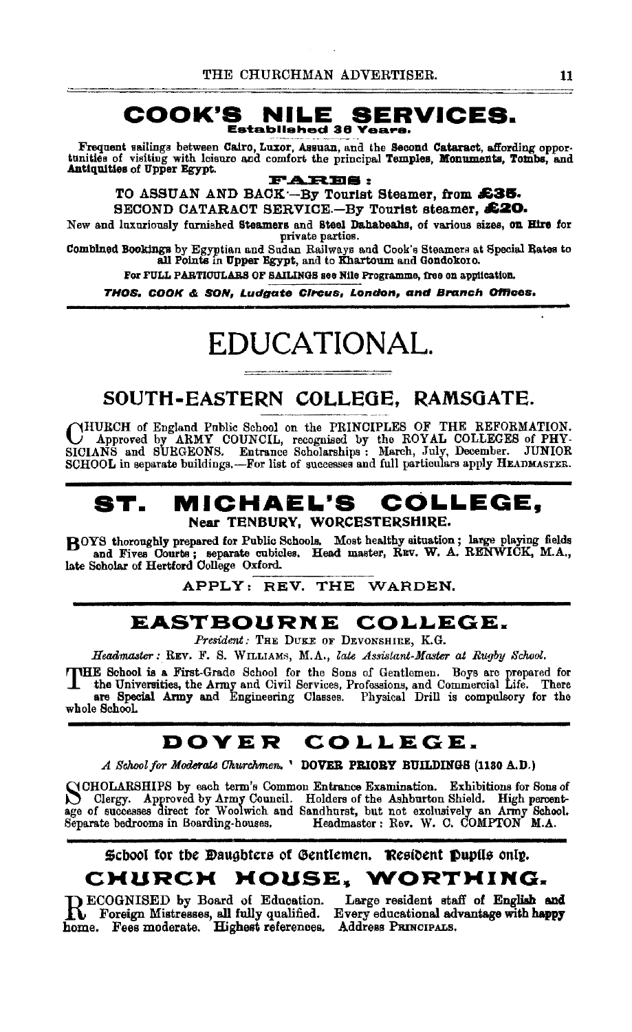#### **COOK'S NILE SERVICES.**  Established 36 Years.

Frequent sailings between Cairo, Luxor, Assuan, and the Second Cataract, affording oppor-<br>tunities of visiting with leisure and comfort the principal Temples, Monuments, Tombs, and Antiquities of Upper Egypt.

**P ..A.:EI.EIS** :

TO ASSUAN AND BAOK·-By Tourist Steamer, from **£3&.**  SECOND CATARACT SERVICE-By Tourist steamer. £20.

New and luxuriously furnished Steamers and Steel Dahabeahs, of various sizes, on Hire for private parties.

Combined Bookings by Egyptian and Sudan Railways and Cook's Steamers at Special Rates to all Points in Upper Egypt, and to Khartoum and Gondokoro.

For FULL PARTICULARS OF SAILINGS see Nile Programme, free on application.

THOS, COOK & SON, Ludgate Circus, London, and Branch Offices.

# EDUCATIONAL.

## SOUTH-EASTERN COLLEGE, RAMSOATE.

CHURCH of England Public School on the PRINCIPLES OF THE REFORMATION.<br>SICIANS and SURGEONS. Entrance Scholarships : March, July, December. JUNIOR SCHOOL in separate buildings.-For list of successes and full particulars apply HEADMASTER.

#### **ST. MICHAEL'S COLLEGE,**  Near TENBURY, WORCESTERSHIRE.

BOYS thoroughly prepared for Public Schools. Most healthy situation ; large playing fields and Fives Courts ; separate cubicles. Head master, Ruv. W. A. RENWICK, M.A., late Scholar of Hertford College Oxford. bs; separate enbicles. Head master, REV. W. A.<br>rd College Oxford.<br>APPLY: REV. THE WARDEN.

## **EASTBOURNE COLLEGE.**

*President:* THE DuKE OF DEVONSHIRE, K.G.

Headmaster: REV. F. S. WILLIAMs, M.A., *late Assistant-Master at Rugby School.* 

THE School is a First-Grade School for the Sons of Gentlemen. Boys are prepared for the Universities, the Army and Civil Services, Professions, and Commercial Life. There are Special Army and Engineering Classes. Physical the Universities, the Army and Civil Services, Professions, and Commercial Life. There whole SchooL

## **DOVER COLLEGE.**

*A School for Moderate Churchmen*, ' DOVER PRIORY BUILDINGS (1130 A.D.)

NCHOLARSHIPS by each term's Common Entrance Examination. Exhibitions for Sons of Clergy. Approved by Army Council. Holders of the Ashburton Shield. High percentage of successes direct for Woolwich and Sandhurst, but not ex Separate bedrooms in Boarding-houses. Headmaster: Rev. W. C. COMPTON M.A.

#### Scbool for the Daughters of Gentlemen. Resident Pupils only. **CHURCH HOUSE. WORTHING.**

**RECOGNISED** by Board of Education. Large resident staff of English and Foreign Mistresses, all fully qualified. Every educational advantage with happy home. Fees moderate. Highest references. Address PRINCIPALS.